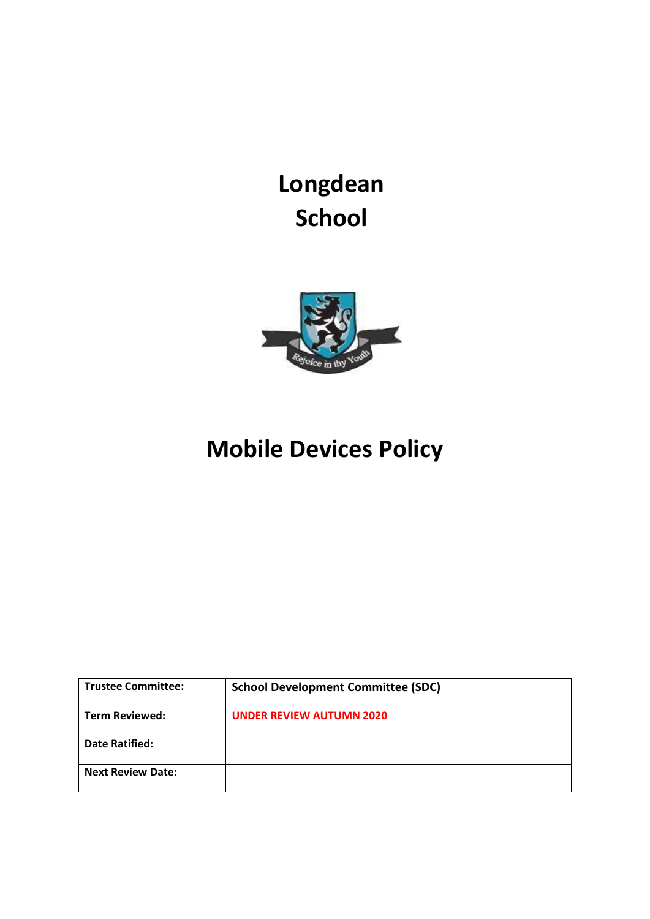**Longdean School**



# **Mobile Devices Policy**

| <b>Trustee Committee:</b> | <b>School Development Committee (SDC)</b> |
|---------------------------|-------------------------------------------|
| <b>Term Reviewed:</b>     | <b>UNDER REVIEW AUTUMN 2020</b>           |
| Date Ratified:            |                                           |
| <b>Next Review Date:</b>  |                                           |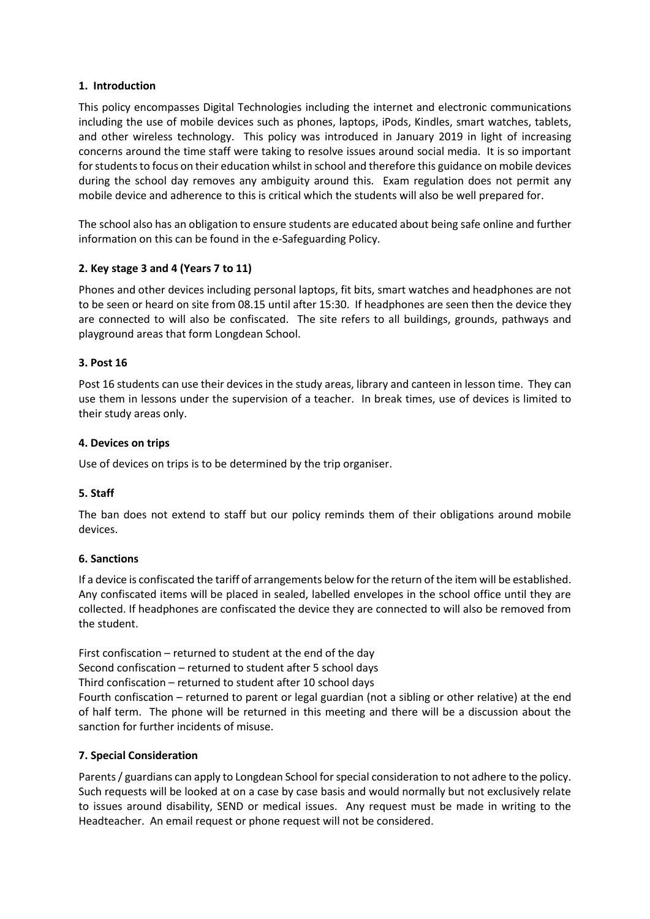## **1. Introduction**

This policy encompasses Digital Technologies including the internet and electronic communications including the use of mobile devices such as phones, laptops, iPods, Kindles, smart watches, tablets, and other wireless technology. This policy was introduced in January 2019 in light of increasing concerns around the time staff were taking to resolve issues around social media. It is so important for students to focus on their education whilst in school and therefore this guidance on mobile devices during the school day removes any ambiguity around this. Exam regulation does not permit any mobile device and adherence to this is critical which the students will also be well prepared for.

The school also has an obligation to ensure students are educated about being safe online and further information on this can be found in the e-Safeguarding Policy.

# **2. Key stage 3 and 4 (Years 7 to 11)**

Phones and other devices including personal laptops, fit bits, smart watches and headphones are not to be seen or heard on site from 08.15 until after 15:30. If headphones are seen then the device they are connected to will also be confiscated. The site refers to all buildings, grounds, pathways and playground areas that form Longdean School.

## **3. Post 16**

Post 16 students can use their devices in the study areas, library and canteen in lesson time. They can use them in lessons under the supervision of a teacher. In break times, use of devices is limited to their study areas only.

## **4. Devices on trips**

Use of devices on trips is to be determined by the trip organiser.

# **5. Staff**

The ban does not extend to staff but our policy reminds them of their obligations around mobile devices.

## **6. Sanctions**

If a device is confiscated the tariff of arrangements below for the return of the item will be established. Any confiscated items will be placed in sealed, labelled envelopes in the school office until they are collected. If headphones are confiscated the device they are connected to will also be removed from the student.

First confiscation – returned to student at the end of the day

Second confiscation – returned to student after 5 school days

Third confiscation – returned to student after 10 school days

Fourth confiscation – returned to parent or legal guardian (not a sibling or other relative) at the end of half term. The phone will be returned in this meeting and there will be a discussion about the sanction for further incidents of misuse.

## **7. Special Consideration**

Parents / guardians can apply to Longdean School for special consideration to not adhere to the policy. Such requests will be looked at on a case by case basis and would normally but not exclusively relate to issues around disability, SEND or medical issues. Any request must be made in writing to the Headteacher. An email request or phone request will not be considered.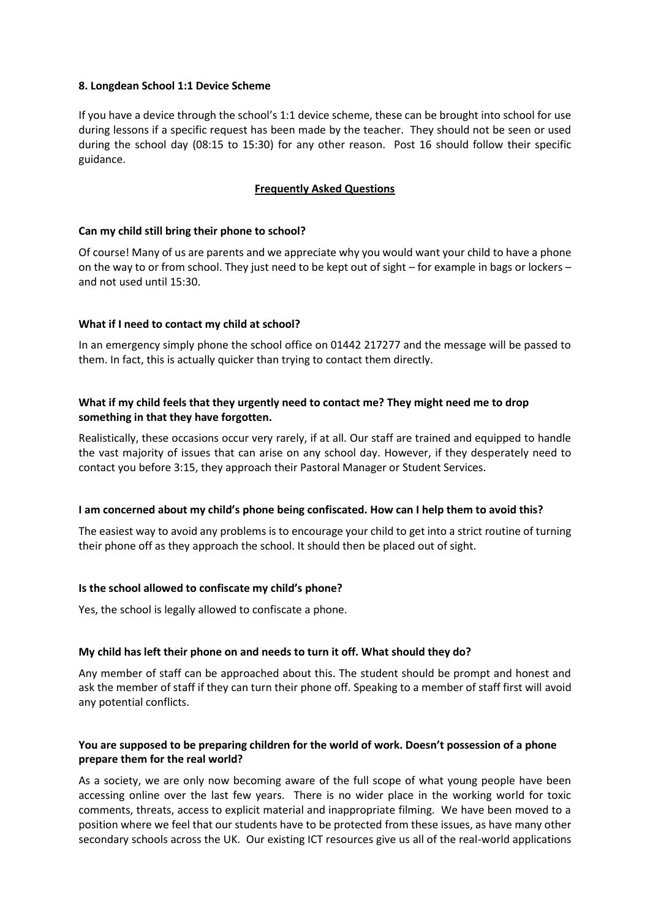## **8. Longdean School 1:1 Device Scheme**

If you have a device through the school's 1:1 device scheme, these can be brought into school for use during lessons if a specific request has been made by the teacher. They should not be seen or used during the school day (08:15 to 15:30) for any other reason. Post 16 should follow their specific guidance.

# **Frequently Asked Questions**

## **Can my child still bring their phone to school?**

Of course! Many of us are parents and we appreciate why you would want your child to have a phone on the way to or from school. They just need to be kept out of sight – for example in bags or lockers – and not used until 15:30.

## **What if I need to contact my child at school?**

In an emergency simply phone the school office on 01442 217277 and the message will be passed to them. In fact, this is actually quicker than trying to contact them directly.

# **What if my child feels that they urgently need to contact me? They might need me to drop something in that they have forgotten.**

Realistically, these occasions occur very rarely, if at all. Our staff are trained and equipped to handle the vast majority of issues that can arise on any school day. However, if they desperately need to contact you before 3:15, they approach their Pastoral Manager or Student Services.

## **I am concerned about my child's phone being confiscated. How can I help them to avoid this?**

The easiest way to avoid any problems is to encourage your child to get into a strict routine of turning their phone off as they approach the school. It should then be placed out of sight.

# **Is the school allowed to confiscate my child's phone?**

Yes, the school is legally allowed to confiscate a phone.

## **My child has left their phone on and needs to turn it off. What should they do?**

Any member of staff can be approached about this. The student should be prompt and honest and ask the member of staff if they can turn their phone off. Speaking to a member of staff first will avoid any potential conflicts.

# **You are supposed to be preparing children for the world of work. Doesn't possession of a phone prepare them for the real world?**

As a society, we are only now becoming aware of the full scope of what young people have been accessing online over the last few years. There is no wider place in the working world for toxic comments, threats, access to explicit material and inappropriate filming. We have been moved to a position where we feel that our students have to be protected from these issues, as have many other secondary schools across the UK. Our existing ICT resources give us all of the real-world applications